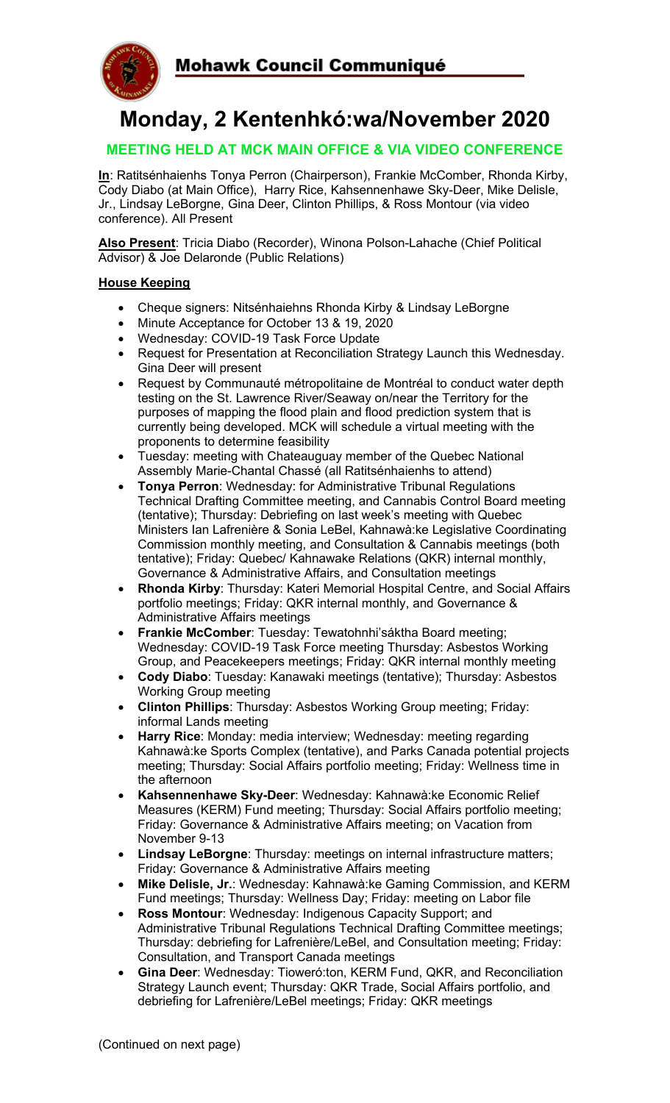

# **Monday, 2 Kentenhkó:wa/November 2020**

# **MEETING HELD AT MCK MAIN OFFICE & VIA VIDEO CONFERENCE**

**In**: Ratitsénhaienhs Tonya Perron (Chairperson), Frankie McComber, Rhonda Kirby, Cody Diabo (at Main Office), Harry Rice, Kahsennenhawe Sky-Deer, Mike Delisle, Jr., Lindsay LeBorgne, Gina Deer, Clinton Phillips, & Ross Montour (via video conference). All Present

**Also Present**: Tricia Diabo (Recorder), Winona Polson-Lahache (Chief Political Advisor) & Joe Delaronde (Public Relations)

## **House Keeping**

- Cheque signers: Nitsénhaiehns Rhonda Kirby & Lindsay LeBorgne
- Minute Acceptance for October 13 & 19, 2020
- Wednesday: COVID-19 Task Force Update
- Request for Presentation at Reconciliation Strategy Launch this Wednesday. Gina Deer will present
- Request by Communauté métropolitaine de Montréal to conduct water depth testing on the St. Lawrence River/Seaway on/near the Territory for the purposes of mapping the flood plain and flood prediction system that is currently being developed. MCK will schedule a virtual meeting with the proponents to determine feasibility
- Tuesday: meeting with Chateauguay member of the Quebec National Assembly Marie-Chantal Chassé (all Ratitsénhaienhs to attend)
- **Tonya Perron**: Wednesday: for Administrative Tribunal Regulations Technical Drafting Committee meeting, and Cannabis Control Board meeting (tentative); Thursday: Debriefing on last week's meeting with Quebec Ministers Ian Lafrenière & Sonia LeBel, Kahnawà:ke Legislative Coordinating Commission monthly meeting, and Consultation & Cannabis meetings (both tentative); Friday: Quebec/ Kahnawake Relations (QKR) internal monthly, Governance & Administrative Affairs, and Consultation meetings
- **Rhonda Kirby**: Thursday: Kateri Memorial Hospital Centre, and Social Affairs portfolio meetings; Friday: QKR internal monthly, and Governance & Administrative Affairs meetings
- **Frankie McComber**: Tuesday: Tewatohnhi'sáktha Board meeting; Wednesday: COVID-19 Task Force meeting Thursday: Asbestos Working Group, and Peacekeepers meetings; Friday: QKR internal monthly meeting
- **Cody Diabo**: Tuesday: Kanawaki meetings (tentative); Thursday: Asbestos Working Group meeting
- **Clinton Phillips**: Thursday: Asbestos Working Group meeting; Friday: informal Lands meeting
- **Harry Rice**: Monday: media interview; Wednesday: meeting regarding Kahnawà:ke Sports Complex (tentative), and Parks Canada potential projects meeting; Thursday: Social Affairs portfolio meeting; Friday: Wellness time in the afternoon
- **Kahsennenhawe Sky-Deer**: Wednesday: Kahnawà:ke Economic Relief Measures (KERM) Fund meeting; Thursday: Social Affairs portfolio meeting; Friday: Governance & Administrative Affairs meeting; on Vacation from November 9-13
- **Lindsay LeBorgne**: Thursday: meetings on internal infrastructure matters; Friday: Governance & Administrative Affairs meeting
- **Mike Delisle, Jr.**: Wednesday: Kahnawà:ke Gaming Commission, and KERM Fund meetings; Thursday: Wellness Day; Friday: meeting on Labor file
- **Ross Montour**: Wednesday: Indigenous Capacity Support; and Administrative Tribunal Regulations Technical Drafting Committee meetings; Thursday: debriefing for Lafrenière/LeBel, and Consultation meeting; Friday: Consultation, and Transport Canada meetings
- **Gina Deer**: Wednesday: Tioweró:ton, KERM Fund, QKR, and Reconciliation Strategy Launch event; Thursday: QKR Trade, Social Affairs portfolio, and debriefing for Lafrenière/LeBel meetings; Friday: QKR meetings